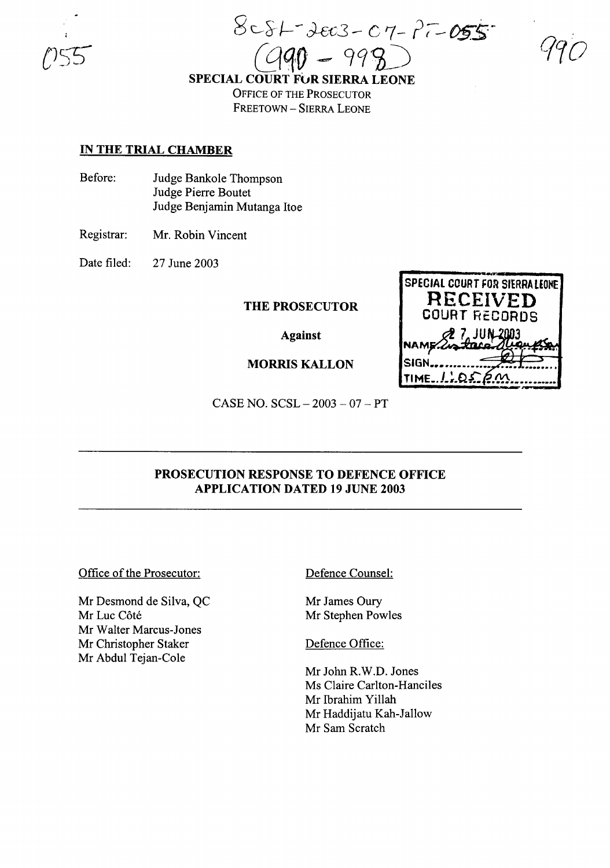8c~l-- *J-£-c3-* <sup>G</sup> 7- ?r--05S~  $C990 - 998$ 

**SPECIAL COURT FOR SIERRA LEONE** OFFICE OF THE PROSECUTOR FREETOWN - SIERRA LEONE

### **IN THE TRIAL CHAMBER**

Before: Judge Bankole Thompson Judge Pierre Boutet Judge Benjamin Mutanga Itoe

Registrar: Mr. Robin Vincent

Date filed: 27 June 2003

**THE PROSECUTOR**

**Against**

**MORRIS KALLON**

**SPECIAL COURT FOR SIERRA LEONE RECEIVED COURT RECORDS 7 JU 3 NAM** SIGN TIME\_LLQS\_R.M

CASE NO. SCSL - 2003 - 07 - PT

# **PROSECUTION RESPONSE TO DEFENCE OFFICE APPLICATION DATED 19 JUNE 2003**

Office of the Prosecutor:

Mr Desmond de Silva, QC Mr Luc Côté Mr Walter Marcus-Jones Mr Christopher Staker Mr Abdul Tejan-Cole

Defence Counsel:

Mr James Oury Mr Stephen Powles

Defence Office:

Mr John R.W.D. Jones Ms Claire Carlton-Hanciles Mr Ibrahim Yillah Mr Haddijatu Kah-Jallow Mr Sam Scratch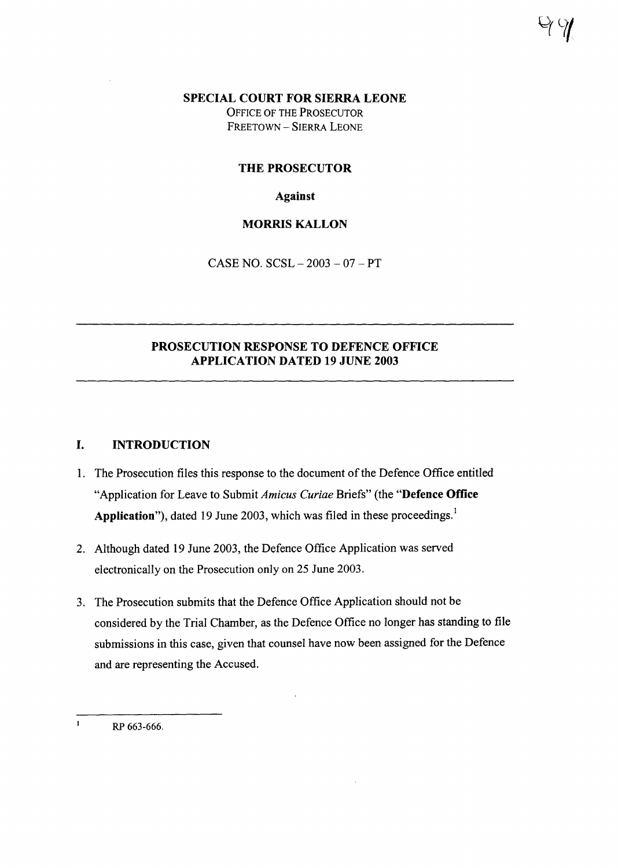**SPECIAL COURT FOR SIERRA LEONE**

OFFICE OF THE PROSECUTOR FREETOWN - SIERRA LEONE

### **THE PROSECUTOR**

**Against**

## **MORRIS KALLON**

CASE NO.  $SCSL - 2003 - 07 - PT$ 

# **PROSECUTION RESPONSE TO DEFENCE OFFICE APPLICATION DATED 19 JUNE 2003**

### **I. INTRODUCTION**

- 1. The Prosecution files this response to the document of the Defence Office entitled "Application for Leave to Submit *Amicus Curiae* Briefs" (the **"Defence Office Application"),** dated 19 June 2003, which was filed in these proceedings.!
- 2. Although dated 19 June 2003, the Defence Office Application was served electronically on the Prosecution only on 25 June 2003.
- 3. The Prosecution submits that the Defence Office Application should not be considered by the Trial Chamber, as the Defence Office no longer has standing to file submissions in this case, given that counsel have now been assigned for the Defence and are representing the Accused.

 $\mathbf{I}$ RP 663-666.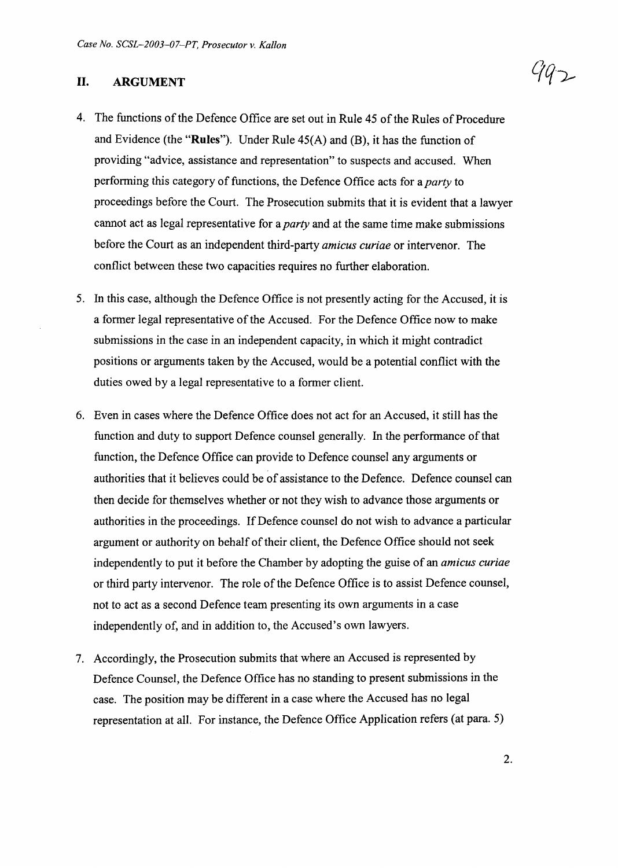#### **II. ARGUMENT**

- 4. The functions of the Defence Office are set out in Rule 45 of the Rules of Procedure and Evidence (the "Rules"). Under Rule  $45(A)$  and (B), it has the function of providing "advice, assistance and representation" to suspects and accused. When performing this category of functions, the Defence Office acts for a *party* to proceedings before the Court. The Prosecution submits that it is evident that a lawyer cannot act as legal representative for a *party* and at the same time make submissions before the Court as an independent third-party *amicus curiae* or intervenor. The conflict between these two capacities requires no further elaboration.
- 5. In this case, although the Defence Office is not presently acting for the Accused, it is a former legal representative of the Accused. For the Defence Office now to make submissions in the case in an independent capacity, in which it might contradict positions or arguments taken by the Accused, would be a potential conflict with the duties owed by a legal representative to a former client.
- 6. Even in cases where the Defence Office does not act for an Accused, it still has the function and duty to support Defence counsel generally. In the performance of that function, the Defence Office can provide to Defence counsel any arguments or authorities that it believes could be of assistance to the Defence. Defence counsel can then decide for themselves whether or not they wish to advance those arguments or authorities in the proceedings. IfDefence counsel do not wish to advance a particular argument or authority on behalf of their client, the Defence Office should not seek independently to put it before the Chamber by adopting the guise of an *amicus curiae* or third party intervenor. The role of the Defence Office is to assist Defence counsel, not to act as a second Defence team presenting its own arguments in a case independently of, and in addition to, the Accused's own lawyers.
- 7. Accordingly, the Prosecution submits that where an Accused is represented by Defence Counsel, the Defence Office has no standing to present submissions in the case. The position may be different in a case where the Accused has no legal representation at all. For instance, the Defence Office Application refers (at para. 5)

792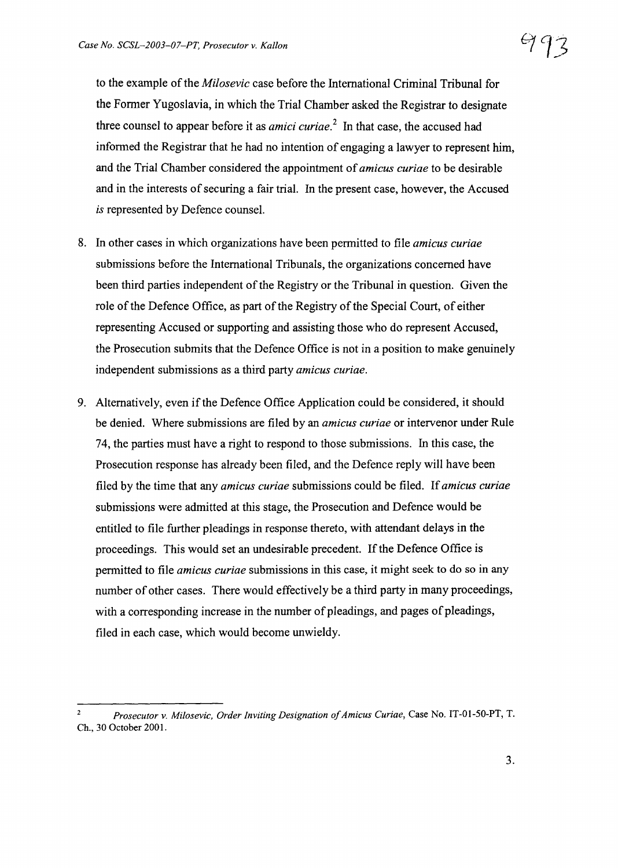to the example of the *Milosevic* case before the International Criminal Tribunal for the Former Yugoslavia, in which the Trial Chamber asked the Registrar to designate three counsel to appear before it as *amici curiae. <sup>2</sup>* In that case, the accused had informed the Registrar that he had no intention of engaging a lawyer to represent him, and the Trial Chamber considered the appointment of*amicus curiae* to be desirable and in the interests of securing a fair trial. In the present case, however, the Accused *is* represented by Defence counsel.

- 8. In other cases in which organizations have been permitted to file *amicus curiae* submissions before the International Tribunals, the organizations concerned have been third parties independent of the Registry or the Tribunal in question. Given the role of the Defence Office, as part of the Registry of the Special Court, of either representing Accused or supporting and assisting those who do represent Accused, the Prosecution submits that the Defence Office is not in a position to make genuinely independent submissions as a third party *amicus curiae.*
- 9. Alternatively, even ifthe Defence Office Application could be considered, it should be denied. Where submissions are filed by an *amicus curiae* or intervenor under Rule 74, the parties must have a right to respond to those submissions. In this case, the Prosecution response has already been filed, and the Defence reply will have been filed by the time that any *amicus curiae* submissions could be filed. If*amicus curiae* submissions were admitted at this stage, the Prosecution and Defence would be entitled to file further pleadings in response thereto, with attendant delays in the proceedings. This would set an undesirable precedent. If the Defence Office is permitted to file *amicus curiae* submissions in this case, it might seek to do so in any number of other cases. There would effectively be a third party in many proceedings, with a corresponding increase in the number of pleadings, and pages of pleadings, filed in each case, which would become unwieldy.

*<sup>2</sup> Prosecutor v. Milosevic, Order Inviting Designation ofAmicus Curiae,* Case No. IT-01-50-PT, T. Ch., 30 October 2001.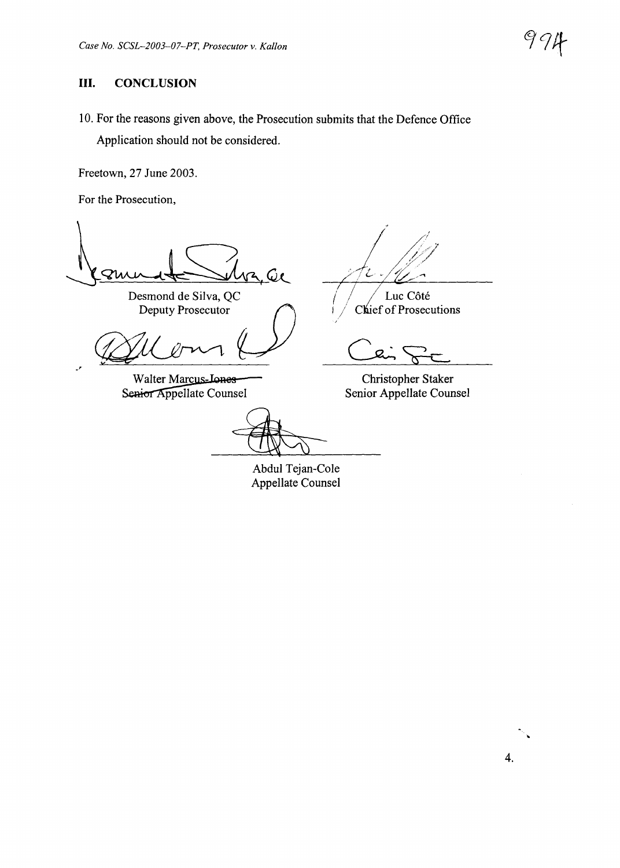# **III. CONCLUSION**

10. For the reasons given above, the Prosecution submits that the Defence Office Application should not be considered.

Freetown, 27 June 2003.

For the Prosecution,

.'

 $2.60$ Zu

Desmond de Silva, QC

**Walter Marcus-Jones** Senior Appellate Counsel

Ź.

Luc Côté Chief of Prosecutions

Christopher Staker Senior Appellate Counsel

Abdul Tejan-Cole Appellate Counsel

4.

"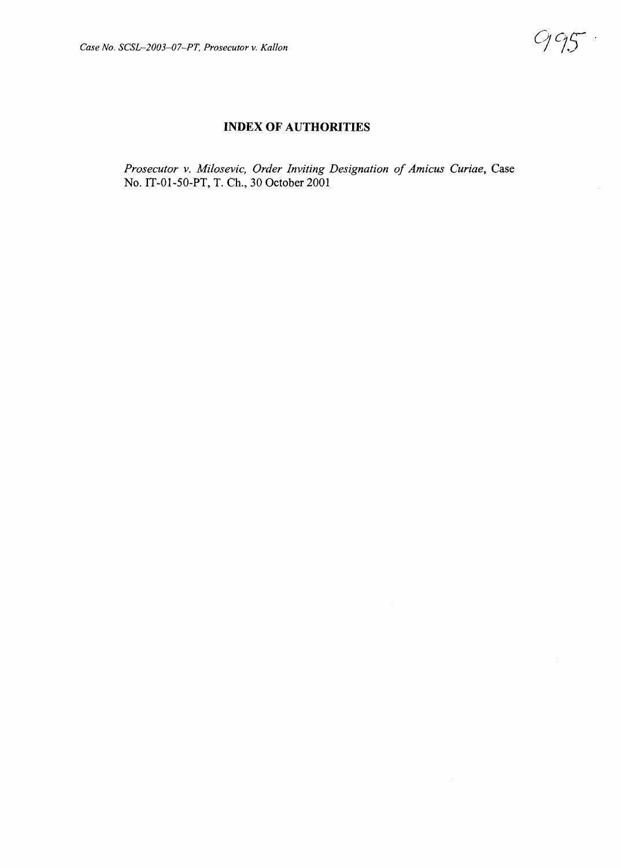## **INDEX OF AUTHORITIES**

*Prosecutor v. Milosevic, Order Inviting Designation of Amicus Curiae,* Case No. IT-01-50-PT, T. Ch., 30 October 2001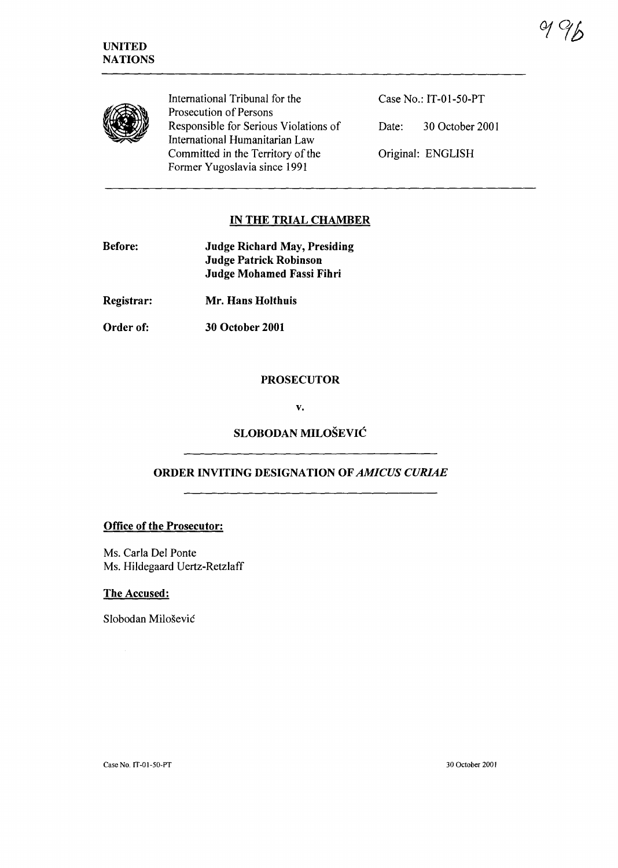

International Tribunal for the Prosecution of Persons Responsible for Serious Violations of International Humanitarian Law Committed in the Territory of the Former Yugoslavia since 1991

Case No.: IT-01-50-PT Date: 30 October 2001 Original: ENGLISH

# IN THE TRIAL CHAMBER

| <b>Before:</b> | <b>Judge Richard May, Presiding</b><br><b>Judge Patrick Robinson</b><br><b>Judge Mohamed Fassi Fihri</b> |
|----------------|----------------------------------------------------------------------------------------------------------|
| Registrar:     | Mr. Hans Holthuis                                                                                        |

Order of: 30 October 2001

### PROSECUTOR

v.

## SLOBODAN MILOSEVIC

## ORDER INVITING DESIGNATION OF *AMICUS CURIAE*

#### Office of the Prosecutor:

Ms. Carla Del Ponte Ms. Hildegaard Vertz-Retzlaff

#### The Accused:

Slobodan Milošević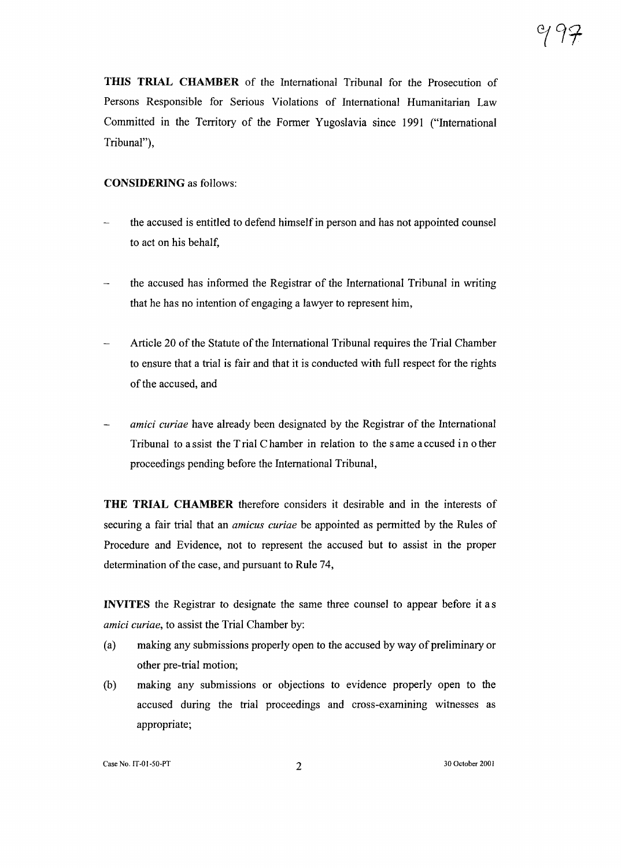**THIS TRIAL CHAMBER** of the International Tribunal for the Prosecution of Persons Responsible for Serious Violations of International Humanitarian Law Committed in the Territory of the Former Yugoslavia since 1991 ("International Tribunal"),

#### **CONSIDERING** as follows:

- the accused is entitled to defend himself in person and has not appointed counsel to act on his behalf,
- the accused has informed the Registrar of the International Tribunal in writing that he has no intention of engaging a lawyer to represent him,
- Article 20 of the Statute of the International Tribunal requires the Trial Chamber to ensure that a trial is fair and that it is conducted with full respect for the rights of the accused, and
- *amici curiae* have already been designated by the Registrar of the International  $\overline{\phantom{0}}$ Tribunal to a ssist the Trial Chamber in relation to the same a ccused in other proceedings pending before the International Tribunal,

**THE TRIAL CHAMBER** therefore considers it desirable and in the interests of securing a fair trial that an *amicus curiae* be appointed as permitted by the Rules of Procedure and Evidence, not to represent the accused but to assist in the proper determination of the case, and pursuant to Rule 74,

**INVITES** the Registrar to designate the same three counsel to appear before it as *amici curiae,* to assist the Trial Chamber by:

- (a) making any submissions properly open to the accused by way of preliminary or other pre-trial motion;
- (b) making any submissions or objections to evidence properly open to the accused during the trial proceedings and cross-examining witnesses as appropriate;